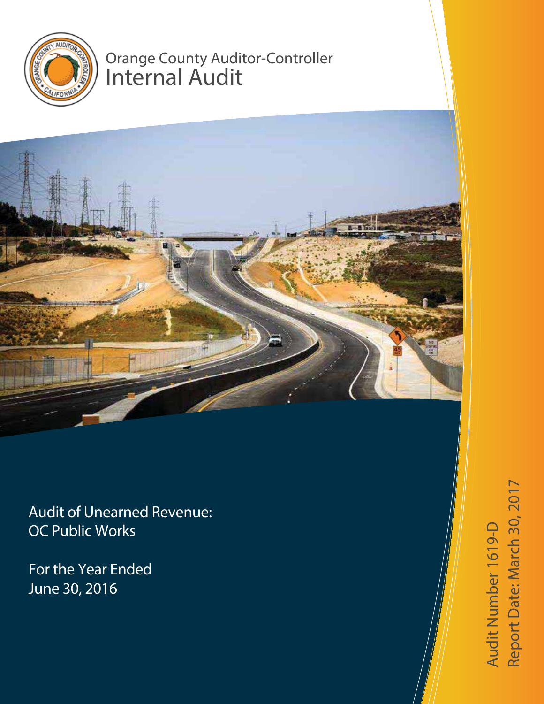

# Orange County Auditor-Controller Internal Audit



Audit of Unearned Revenue: OC Public Works

For the Year Ended June 30, 2016

Audit Number 1619-  $\Delta$ Report Da te: March 30, 2017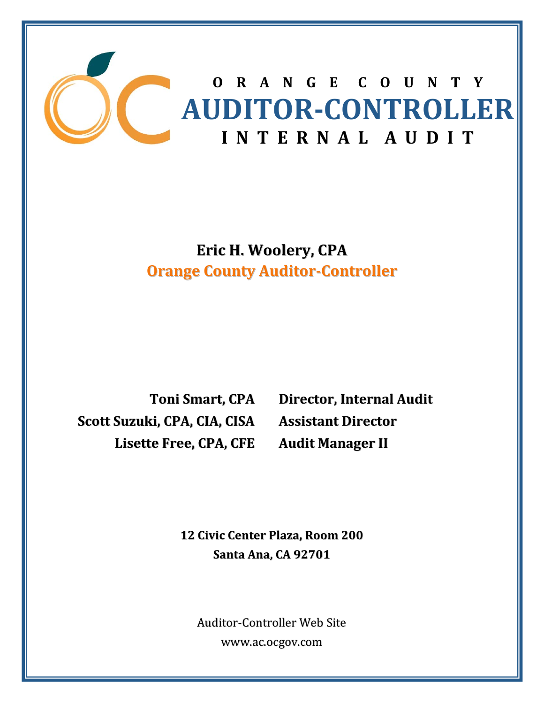

**Eric H. Woolery, CPA Orange County Auditor‐Controller**

**Toni Smart, CPA Scott Suzuki, CPA, CIA, CISA Lisette Free, CPA, CFE**

**Director, Internal Audit Assistant Director Audit Manager II**

 **<sup>12</sup> Civic Center Plaza, Room <sup>200</sup> Santa Ana, CA 92701**

Auditor‐Controller Web Site www.ac.ocgov.com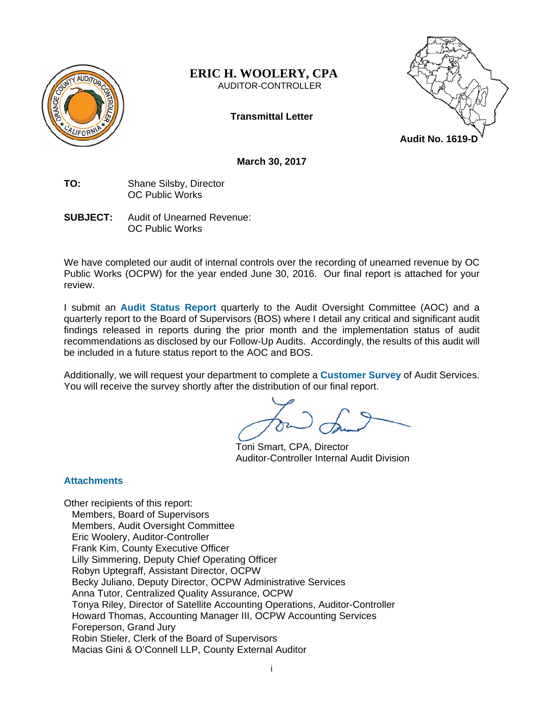

#### **ERIC H. WOOLERY, CPA**  AUDITOR-CONTROLLER

**Transmittal Letter** 



**March 30, 2017** 

- **TO:** Shane Silsby, Director OC Public Works
- **SUBJECT:** Audit of Unearned Revenue: OC Public Works

We have completed our audit of internal controls over the recording of unearned revenue by OC Public Works (OCPW) for the year ended June 30, 2016. Our final report is attached for your review.

I submit an **Audit Status Report** quarterly to the Audit Oversight Committee (AOC) and a quarterly report to the Board of Supervisors (BOS) where I detail any critical and significant audit findings released in reports during the prior month and the implementation status of audit recommendations as disclosed by our Follow-Up Audits. Accordingly, the results of this audit will be included in a future status report to the AOC and BOS.

Additionally, we will request your department to complete a **Customer Survey** of Audit Services. You will receive the survey shortly after the distribution of our final report.

Toni Smart, CPA, Director Auditor-Controller Internal Audit Division

# **Attachments**

Other recipients of this report: Members, Board of Supervisors Members, Audit Oversight Committee Eric Woolery, Auditor-Controller Frank Kim, County Executive Officer Lilly Simmering, Deputy Chief Operating Officer Robyn Uptegraff, Assistant Director, OCPW Becky Juliano, Deputy Director, OCPW Administrative Services Anna Tutor, Centralized Quality Assurance, OCPW Tonya Riley, Director of Satellite Accounting Operations, Auditor-Controller Howard Thomas, Accounting Manager III, OCPW Accounting Services Foreperson, Grand Jury Robin Stieler, Clerk of the Board of Supervisors Macias Gini & O'Connell LLP, County External Auditor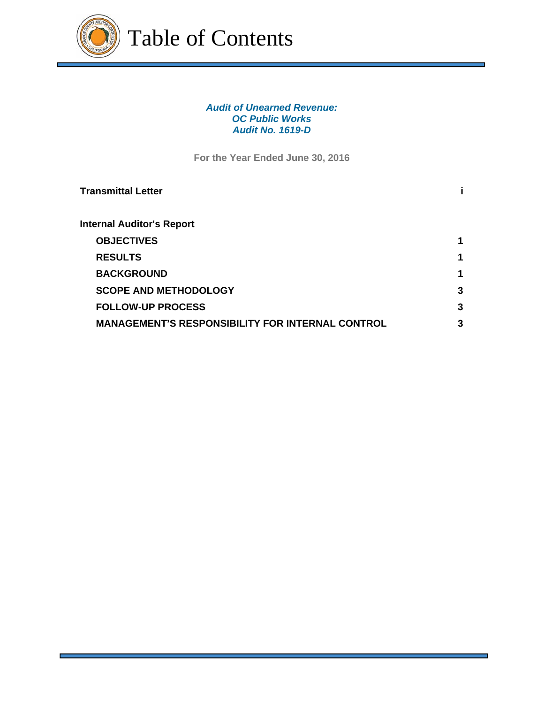

## *Audit of Unearned Revenue: OC Public Works Audit No. 1619-D*

**For the Year Ended June 30, 2016** 

| <b>Transmittal Letter</b>                               |   |
|---------------------------------------------------------|---|
| Internal Auditor's Report                               |   |
| <b>OBJECTIVES</b>                                       | 1 |
| <b>RESULTS</b>                                          | 1 |
| <b>BACKGROUND</b>                                       | 1 |
| <b>SCOPE AND METHODOLOGY</b>                            | 3 |
| <b>FOLLOW-UP PROCESS</b>                                | 3 |
| <b>MANAGEMENT'S RESPONSIBILITY FOR INTERNAL CONTROL</b> | 3 |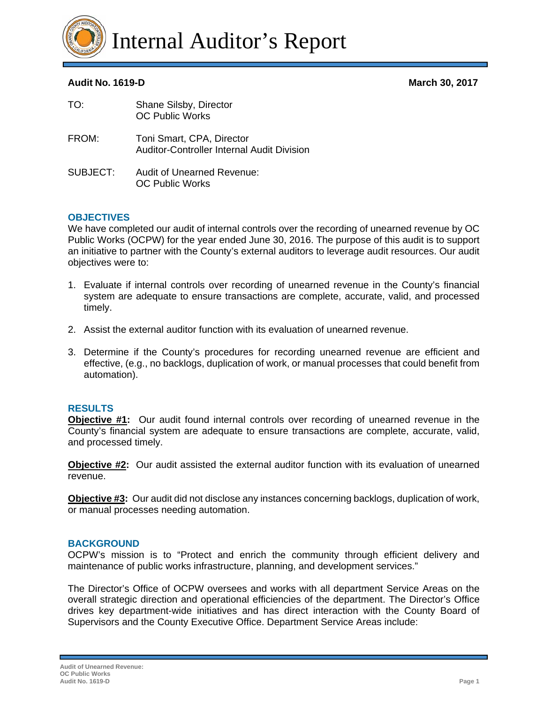

# **Audit No. 1619-D March 30, 2017**

| TO:      | Shane Silsby, Director<br><b>OC Public Works</b>                               |
|----------|--------------------------------------------------------------------------------|
| FROM:    | Toni Smart, CPA, Director<br><b>Auditor-Controller Internal Audit Division</b> |
| SUBJECT: | <b>Audit of Unearned Revenue:</b><br><b>OC Public Works</b>                    |

# **OBJECTIVES**

We have completed our audit of internal controls over the recording of unearned revenue by OC Public Works (OCPW) for the year ended June 30, 2016. The purpose of this audit is to support an initiative to partner with the County's external auditors to leverage audit resources. Our audit objectives were to:

- 1. Evaluate if internal controls over recording of unearned revenue in the County's financial system are adequate to ensure transactions are complete, accurate, valid, and processed timely.
- 2. Assist the external auditor function with its evaluation of unearned revenue.
- 3. Determine if the County's procedures for recording unearned revenue are efficient and effective, (e.g., no backlogs, duplication of work, or manual processes that could benefit from automation).

## **RESULTS**

**Objective #1:** Our audit found internal controls over recording of unearned revenue in the County's financial system are adequate to ensure transactions are complete, accurate, valid, and processed timely.

**Objective #2:** Our audit assisted the external auditor function with its evaluation of unearned revenue.

**Objective #3:** Our audit did not disclose any instances concerning backlogs, duplication of work, or manual processes needing automation.

## **BACKGROUND**

OCPW's mission is to "Protect and enrich the community through efficient delivery and maintenance of public works infrastructure, planning, and development services."

The Director's Office of OCPW oversees and works with all department Service Areas on the overall strategic direction and operational efficiencies of the department. The Director's Office drives key department-wide initiatives and has direct interaction with the County Board of Supervisors and the County Executive Office. Department Service Areas include: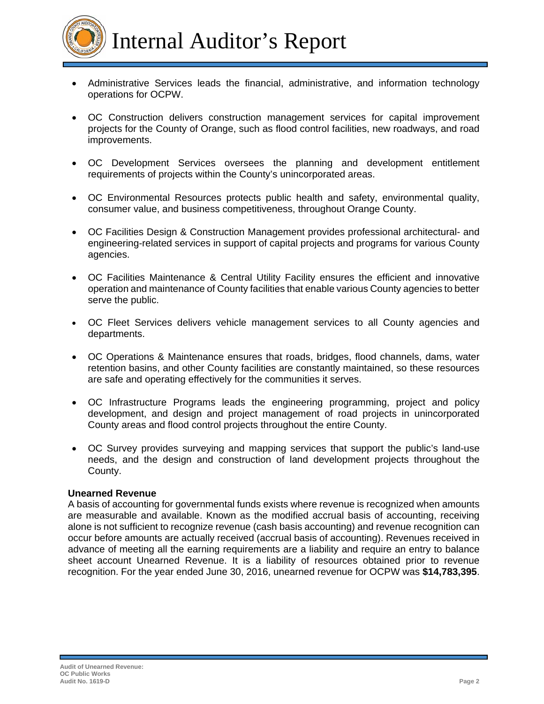

- Administrative Services leads the financial, administrative, and information technology operations for OCPW.
- OC Construction delivers construction management services for capital improvement projects for the County of Orange, such as flood control facilities, new roadways, and road improvements.
- OC Development Services oversees the planning and development entitlement requirements of projects within the County's unincorporated areas.
- OC Environmental Resources protects public health and safety, environmental quality, consumer value, and business competitiveness, throughout Orange County.
- OC Facilities Design & Construction Management provides professional architectural- and engineering-related services in support of capital projects and programs for various County agencies.
- OC Facilities Maintenance & Central Utility Facility ensures the efficient and innovative operation and maintenance of County facilities that enable various County agencies to better serve the public.
- OC Fleet Services delivers vehicle management services to all County agencies and departments.
- OC Operations & Maintenance ensures that roads, bridges, flood channels, dams, water retention basins, and other County facilities are constantly maintained, so these resources are safe and operating effectively for the communities it serves.
- OC Infrastructure Programs leads the engineering programming, project and policy development, and design and project management of road projects in unincorporated County areas and flood control projects throughout the entire County.
- OC Survey provides surveying and mapping services that support the public's land-use needs, and the design and construction of land development projects throughout the County.

## **Unearned Revenue**

A basis of accounting for governmental funds exists where revenue is recognized when amounts are measurable and available. Known as the modified accrual basis of accounting, receiving alone is not sufficient to recognize revenue (cash basis accounting) and revenue recognition can occur before amounts are actually received (accrual basis of accounting). Revenues received in advance of meeting all the earning requirements are a liability and require an entry to balance sheet account Unearned Revenue. It is a liability of resources obtained prior to revenue recognition. For the year ended June 30, 2016, unearned revenue for OCPW was **\$14,783,395**.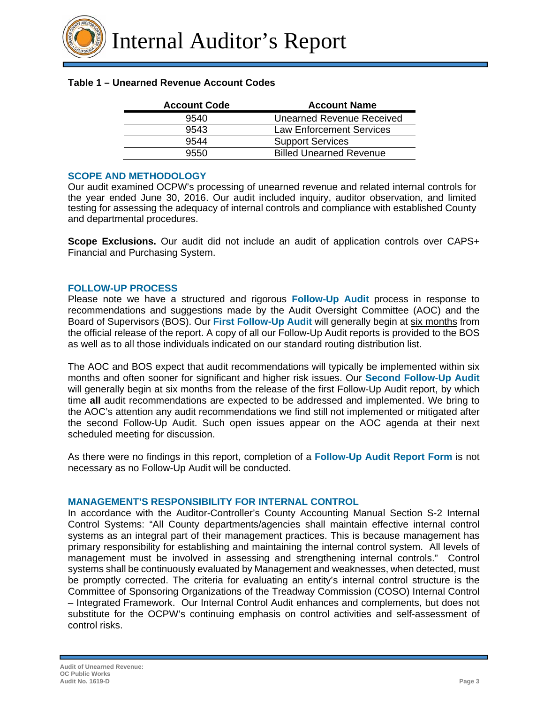### **Table 1 – Unearned Revenue Account Codes**

| <b>Account Code</b> | <b>Account Name</b>            |
|---------------------|--------------------------------|
| 9540                | Unearned Revenue Received      |
| 9543                | Law Enforcement Services       |
| 9544                | <b>Support Services</b>        |
| 9550                | <b>Billed Unearned Revenue</b> |

#### **SCOPE AND METHODOLOGY**

Our audit examined OCPW's processing of unearned revenue and related internal controls for the year ended June 30, 2016. Our audit included inquiry, auditor observation, and limited testing for assessing the adequacy of internal controls and compliance with established County and departmental procedures.

**Scope Exclusions.** Our audit did not include an audit of application controls over CAPS+ Financial and Purchasing System.

#### **FOLLOW-UP PROCESS**

Please note we have a structured and rigorous **Follow-Up Audit** process in response to recommendations and suggestions made by the Audit Oversight Committee (AOC) and the Board of Supervisors (BOS). Our **First Follow-Up Audit** will generally begin at six months from the official release of the report. A copy of all our Follow-Up Audit reports is provided to the BOS as well as to all those individuals indicated on our standard routing distribution list.

The AOC and BOS expect that audit recommendations will typically be implemented within six months and often sooner for significant and higher risk issues. Our **Second Follow-Up Audit** will generally begin at six months from the release of the first Follow-Up Audit report, by which time **all** audit recommendations are expected to be addressed and implemented. We bring to the AOC's attention any audit recommendations we find still not implemented or mitigated after the second Follow-Up Audit. Such open issues appear on the AOC agenda at their next scheduled meeting for discussion.

As there were no findings in this report, completion of a **Follow-Up Audit Report Form** is not necessary as no Follow-Up Audit will be conducted.

#### **MANAGEMENT'S RESPONSIBILITY FOR INTERNAL CONTROL**

In accordance with the Auditor-Controller's County Accounting Manual Section S-2 Internal Control Systems: "All County departments/agencies shall maintain effective internal control systems as an integral part of their management practices. This is because management has primary responsibility for establishing and maintaining the internal control system. All levels of management must be involved in assessing and strengthening internal controls." Control systems shall be continuously evaluated by Management and weaknesses, when detected, must be promptly corrected. The criteria for evaluating an entity's internal control structure is the Committee of Sponsoring Organizations of the Treadway Commission (COSO) Internal Control – Integrated Framework. Our Internal Control Audit enhances and complements, but does not substitute for the OCPW's continuing emphasis on control activities and self-assessment of control risks.